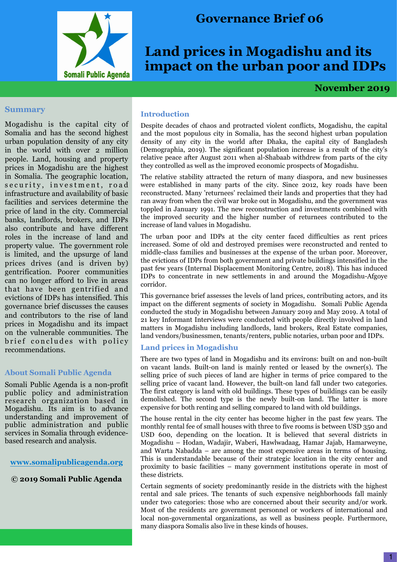

## **Governance Brief 06**

# **Land prices in Mogadishu and its impact on the urban poor and IDPs**

 **November 2019**

#### **Summary**

Mogadishu is the capital city of Somalia and has the second highest urban population density of any city in the world with over 2 million people. Land, housing and property prices in Mogadishu are the highest in Somalia. The geographic location, security, investment, road infrastructure and availability of basic facilities and services determine the price of land in the city. Commercial banks, landlords, brokers, and IDPs also contribute and have different roles in the increase of land and property value. The government role is limited, and the upsurge of land prices drives (and is driven by) gentrification. Poorer communities can no longer afford to live in areas that have been gentrified and evictions of IDPs has intensified. This governance brief discusses the causes and contributors to the rise of land prices in Mogadishu and its impact on the vulnerable communities. The brief concludes with policy recommendations.

#### **About Somali Public Agenda**

Somali Public Agenda is a non-profit public policy and administration research organization based in Mogadishu. Its aim is to advance understanding and improvement of public administration and public services in Somalia through evidencebased research and analysis.

## **[www.somalipublicagenda.](http://www.somalipublicagenda.com)org**

**© 2019 Somali Public Agenda**

## **Introduction**

Despite decades of chaos and protracted violent conflicts, Mogadishu, the capital and the most populous city in Somalia, has the second highest urban population density of any city in the world after Dhaka, the capital city of Bangladesh (Demographia, 2019). The significant population increase is a result of the city's relative peace after August 2011 when al-Shabaab withdrew from parts of the city they controlled as well as the improved economic prospects of Mogadishu.

The relative stability attracted the return of many diaspora, and new businesses were established in many parts of the city. Since 2012, key roads have been reconstructed. Many 'returnees' reclaimed their lands and properties that they had ran away from when the civil war broke out in Mogadishu, and the government was toppled in January 1991. The new reconstruction and investments combined with the improved security and the higher number of returnees contributed to the increase of land values in Mogadishu.

The urban poor and IDPs at the city center faced difficulties as rent prices increased. Some of old and destroyed premises were reconstructed and rented to middle-class families and businesses at the expense of the urban poor. Moreover, the evictions of IDPs from both government and private buildings intensified in the past few years (Internal Displacement Monitoring Centre, 2018). This has induced IDPs to concentrate in new settlements in and around the Mogadishu-Afgoye corridor.

This governance brief assesses the levels of land prices, contributing actors, and its impact on the different segments of society in Mogadishu. Somali Public Agenda conducted the study in Mogadishu between January 2019 and May 2019. A total of 21 key Informant Interviews were conducted with people directly involved in land matters in Mogadishu including landlords, land brokers, Real Estate companies, land vendors/businessmen, tenants/renters, public notaries, urban poor and IDPs.

## **Land prices in Mogadishu**

There are two types of land in Mogadishu and its environs: built on and non-built on vacant lands. Built-on land is mainly rented or leased by the owner(s). The selling price of such pieces of land are higher in terms of price compared to the selling price of vacant land. However, the built-on land fall under two categories. The first category is land with old buildings. These types of buildings can be easily demolished. The second type is the newly built-on land. The latter is more expensive for both renting and selling compared to land with old buildings.

The house rental in the city center has become higher in the past few years. The monthly rental fee of small houses with three to five rooms is between USD 350 and USD 600, depending on the location. It is believed that several districts in Mogadishu – Hodan, Wadajir, Waberi, Hawlwadaag, Hamar Jajab, Hamarweyne, and Warta Nabadda – are among the most expensive areas in terms of housing. This is understandable because of their strategic location in the city center and proximity to basic facilities – many government institutions operate in most of these districts.

Certain segments of society predominantly reside in the districts with the highest rental and sale prices. The tenants of such expensive neighborhoods fall mainly under two categories: those who are concerned about their security and/or work. Most of the residents are government personnel or workers of international and local non-governmental organizations, as well as business people. Furthermore, many diaspora Somalis also live in these kinds of houses.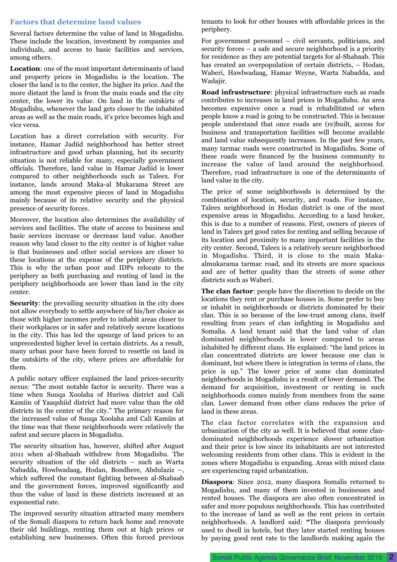## **Factors that determine land values**

Several factors determine the value of land in Mogadishu. These include the location, investment by companies and individuals, and access to basic facilities and services, among others.

**Location**: one of the most important determinants of land and property prices in Mogadishu is the location. The closer the land is to the center, the higher its price. And the more distant the land is from the main roads and the city center, the lower its value. On land in the outskirts of Mogadishu, whenever the land gets closer to the inhabited areas as well as the main roads, it's price becomes high and vice versa.

Location has a direct correlation with security. For instance, Hamar Jadiid neighborhood has better street infrastructure and good urban planning, but its security situation is not reliable for many, especially government officials. Therefore, land value in Hamar Jadiid is lower compared to other neighborhoods such as Taleex. For instance, lands around Maka-al Mukarama Street are among the most expensive pieces of land in Mogadishu mainly because of its relative security and the physical presence of security forces.

Moreover, the location also determines the availability of services and facilities. The state of access to business and basic services increase or decrease land value. Another reason why land closer to the city center is of higher value is that businesses and other social services are closer to these locations at the expense of the periphery districts. This is why the urban poor and IDPs relocate to the periphery as both purchasing and renting of land in the periphery neighborhoods are lower than land in the city center.

**Security**: the prevailing security situation in the city does not allow everybody to settle anywhere of his/her choice as those with higher incomes prefer to inhabit areas closer to their workplaces or in safer and relatively secure locations in the city. This has led the upsurge of land prices to an unprecedented higher level in certain districts. As a result, many urban poor have been forced to resettle on land in the outskirts of the city, where prices are affordable for them.

A public notary officer explained the land prices-security nexus: "The most notable factor is security. There was a time when Suuqa Xoolaha of Huriwa district and Cali Kamiin of Yaaqshiid district had more value than the old districts in the center of the city." The primary reason for the increased value of Suuqa Xoolaha and Cali Kamiin at the time was that these neighborhoods were relatively the safest and secure places in Mogadishu.

The security situation has, however, shifted after August 2011 when al-Shabaab withdrew from Mogadishu. The security situation of the old districts – such as Warta Nabadda, Howlwadaag, Hodan, Bondhere, Abdulaziz –, which suffered the constant fighting between al-Shabaab and the government forces, improved significantly and thus the value of land in these districts increased at an exponential rate.

The improved security situation attracted many members of the Somali diaspora to return back home and renovate their old buildings, renting them out at high prices or establishing new businesses. Often this forced previous

tenants to look for other houses with affordable prices in the periphery.

For government personnel – civil servants, politicians, and security forces – a safe and secure neighborhood is a priority for residence as they are potential targets for al-Shabaab. This has created an overpopulation of certain districts,  $-$  Hodan, Waberi, Hawlwadaag, Hamar Weyne, Warta Nabadda, and Wadajir.

**Road infrastructure**: physical infrastructure such as roads contributes to increases in land prices in Mogadishu. An area becomes expensive once a road is rehabilitated or when people know a road is going to be constructed. This is because people understand that once roads are (re)built, access for business and transportation facilities will become available and land value subsequently increases. In the past few years, many tarmac roads were constructed in Mogadishu. Some of these roads were financed by the business community to increase the value of land around the neighborhood. Therefore, road infrastructure is one of the determinants of land value in the city.

The price of some neighborhoods is determined by the combination of location, security, and roads. For instance, Taleex neighborhood in Hodan district is one of the most expensive areas in Mogadishu. According to a land broker, this is due to a number of reasons. First, owners of pieces of land in Taleex get good rates for renting and selling because of its location and proximity to many important facilities in the city center. Second, Taleex is a relatively secure neighborhood in Mogadishu. Third, it is close to the main Makaalmukarama tarmac road, and its streets are more spacious and are of better quality than the streets of some other districts such as Waberi.

**The clan factor**: people have the discretion to decide on the locations they rent or purchase houses in. Some prefer to buy or inhabit in neighborhoods or districts dominated by their clan. This is so because of the low-trust among clans, itself resulting from years of clan infighting in Mogadishu and Somalia. A land tenant said that the land value of clan dominated neighborhoods is lower compared to areas inhabited by different clans. He explained: "the land prices in clan concentrated districts are lower because one clan is dominant, but where there is integration in terms of clans, the price is up." The lower price of some clan dominated neighborhoods in Mogadishu is a result of lower demand. The demand for acquisition, investment or renting in such neighborhoods comes mainly from members from the same clan. Lower demand from other clans reduces the price of land in these areas.

The clan factor correlates with the expansion and urbanization of the city as well. It is believed that some clandominated neighborhoods experience slower urbanization and their price is low since its inhabitants are not interested welcoming residents from other clans. This is evident in the zones where Mogadishu is expanding. Areas with mixed clans are experiencing rapid urbanization.

**Diaspora**: Since 2012, many diaspora Somalis returned to Mogadishu, and many of them invested in businesses and rented houses. The diaspora are also often concentrated in safer and more populous neighborhoods. This has contributed to the increase of land as well as the rent prices in certain neighborhoods. A landlord said: **"**The diaspora previously used to dwell in hotels, but they later started renting houses by paying good rent rate to the landlords making again the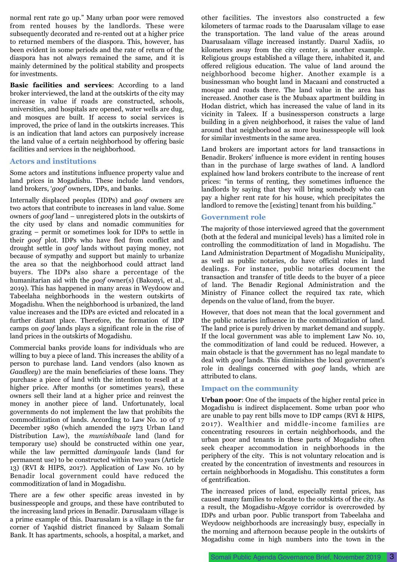normal rent rate go up." Many urban poor were removed from rented houses by the landlords. These were subsequently decorated and re-rented out at a higher price to returned members of the diaspora. This, however, has been evident in some periods and the rate of return of the diaspora has not always remained the same, and it is mainly determined by the political stability and prospects for investments.

**Basic facilities and services**: According to a land broker interviewed, the land at the outskirts of the city may increase in value if roads are constructed, schools, universities, and hospitals are opened, water wells are dug, and mosques are built. If access to social services is improved, the price of land in the outskirts increases. This is an indication that land actors can purposively increase the land value of a certain neighborhood by offering basic facilities and services in the neighborhood.

## **Actors and institutions**

Some actors and institutions influence property value and land prices in Mogadishu. These include land vendors, land brokers, '*goof'* owners, IDPs, and banks.

Internally displaced peoples (IDPs) and *goof* owners are two actors that contribute to increases in land value. Some owners of *goof* land – unregistered plots in the outskirts of the city used by clans and nomadic communities for grazing – permit or sometimes look for IDPs to settle in their *goof* plot. IDPs who have fled from conflict and drought settle in *goof* lands without paying money, not because of sympathy and support but mainly to urbanize the area so that the neighborhood could attract land buyers. The IDPs also share a percentage of the humanitarian aid with the *goof* owner(s) (Bakonyi, et al., 2019). This has happened in many areas in Weydoow and Tabeelaha neighborhoods in the western outskirts of Mogadishu. When the neighborhood is urbanized, the land value increases and the IDPs are evicted and relocated in a further distant place. Therefore, the formation of IDP camps on *goof* lands plays a significant role in the rise of land prices in the outskirts of Mogadishu.

Commercial banks provide loans for individuals who are willing to buy a piece of land. This increases the ability of a person to purchase land. Land vendors (also known as *Gaadleey*) are the main beneficiaries of these loans. They purchase a piece of land with the intention to resell at a higher price. After months (or sometimes years), these owners sell their land at a higher price and reinvest the money in another piece of land. Unfortunately, local governments do not implement the law that prohibits the commoditization of lands. According to Law No. 10 of 17 December 1980 (which amended the 1973 Urban Land Distribution Law), the *munishibaale* land (land for temporary use) should be constructed within one year, while the law permitted *daminyaale* lands (land for permanent use) to be constructed within two years (Article 13) (RVI & HIPS, 2017). Application of Law No. 10 by Benadir local government could have reduced the commoditization of land in Mogadishu.

There are a few other specific areas invested in by businesspeople and groups, and these have contributed to the increasing land prices in Benadir. Darusalaam village is a prime example of this. Daarusalam is a village in the far corner of Yaqshid district financed by Salaam Somali Bank. It has apartments, schools, a hospital, a market, and

other facilities. The investors also constructed a few kilometers of tarmac roads to the Daarusalam village to ease the transportation. The land value of the areas around Daarusalaam village increased instantly. Daarul Xadiis, 10 kilometers away from the city center, is another example. Religious groups established a village there, inhabited it, and offered religious education. The value of land around the neighborhood become higher. Another example is a businessman who bought land in Macaani and constructed a mosque and roads there. The land value in the area has increased. Another case is the Mubaax apartment building in Hodan district, which has increased the value of land in its vicinity in Taleex. If a businessperson constructs a large building in a given neighborhood, it raises the value of land around that neighborhood as more businesspeople will look for similar investments in the same area.

Land brokers are important actors for land transactions in Benadir. Brokers' influence is more evident in renting houses than in the purchase of large swathes of land. A landlord explained how land brokers contribute to the increase of rent prices: "in terms of renting, they sometimes influence the landlords by saying that they will bring somebody who can pay a higher rent rate for his house, which precipitates the landlord to remove the [existing] tenant from his building."

#### **Government role**

The majority of those interviewed agreed that the government (both at the federal and municipal levels) has a limited role in controlling the commoditization of land in Mogadishu. The Land Administration Department of Mogadishu Municipality, as well as public notaries, do have official roles in land dealings. For instance, public notaries document the transaction and transfer of title deeds to the buyer of a piece of land. The Benadir Regional Administration and the Ministry of Finance collect the required tax rate, which depends on the value of land, from the buyer.

However, that does not mean that the local government and the public notaries influence in the commoditization of land. The land price is purely driven by market demand and supply. If the local government was able to implement Law No. 10, the commoditization of land could be reduced. However, a main obstacle is that the government has no legal mandate to deal with *goof* lands. This diminishes the local government's role in dealings concerned with *goof* lands, which are attributed to clans.

#### **Impact on the community**

**Urban poor**: One of the impacts of the higher rental price in Mogadishu is indirect displacement. Some urban poor who are unable to pay rent bills move to IDP camps (RVI & HIPS, 2017). Wealthier and middle-income families are concentrating resources in certain neighborhoods, and the urban poor and tenants in these parts of Mogadishu often seek cheaper accommodation in neighborhoods in the periphery of the city. This is not voluntary relocation and is created by the concentration of investments and resources in certain neighborhoods in Mogadishu. This constitutes a form of gentrification.

The increased prices of land, especially rental prices, has caused many families to relocate to the outskirts of the city. As a result, the Mogadishu-Afgoye corridor is overcrowded by IDPs and urban poor. Public transport from Tabeelaha and Weydoow neighborhoods are increasingly busy, especially in the morning and afternoon because people in the outskirts of Mogadishu come in high numbers into the town in the